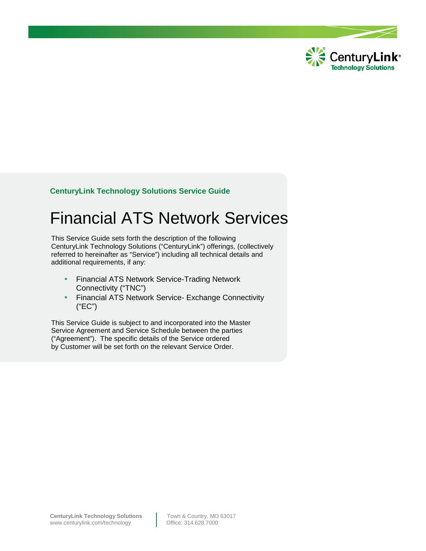

# **CenturyLink Technology Solutions Service Guide**

# Financial ATS Network Services

 CenturyLink Technology Solutions ("CenturyLink") offerings, (collectively This Service Guide sets forth the description of the following referred to hereinafter as "Service") including all technical details and additional requirements, if any:

- Financial ATS Network Service-Trading Network Connectivity ("TNC")
- Financial ATS Network Service- Exchange Connectivity ("EC")

This Service Guide is subject to and incorporated into the Master Service Agreement and Service Schedule between the parties ("Agreement"). The specific details of the Service ordered by Customer will be set forth on the relevant Service Order.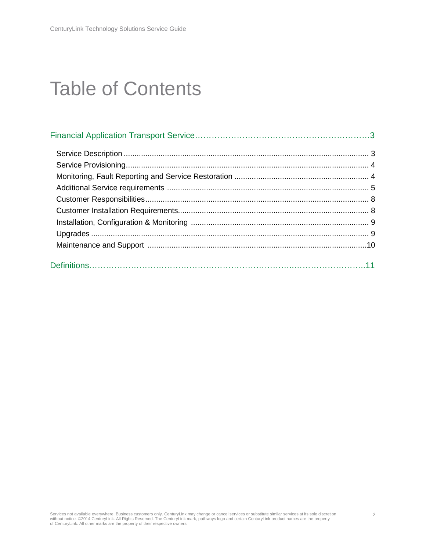# Table of Contents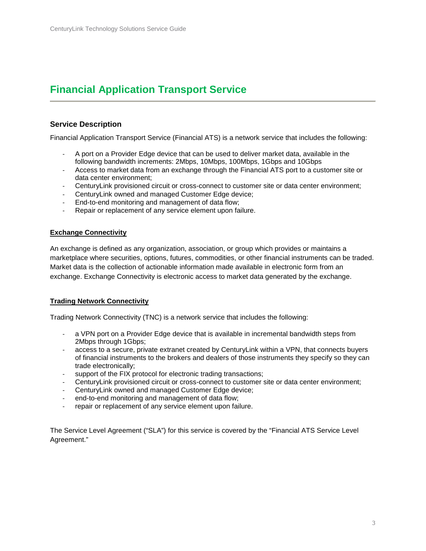# **Financial Application Transport Service**

# **Service Description**

Financial Application Transport Service (Financial ATS) is a network service that includes the following:

- A port on a Provider Edge device that can be used to deliver market data, available in the following bandwidth increments: 2Mbps, 10Mbps, 100Mbps, 1Gbps and 10Gbps
- Access to market data from an exchange through the Financial ATS port to a customer site or data center environment;
- CenturyLink provisioned circuit or cross-connect to customer site or data center environment;
- CenturyLink owned and managed Customer Edge device;
- End-to-end monitoring and management of data flow;
- Repair or replacement of any service element upon failure.

#### **Exchange Connectivity**

An exchange is defined as any organization, association, or group which provides or maintains a marketplace where securities, options, futures, commodities, or other financial instruments can be traded. Market data is the collection of actionable information made available in electronic form from an exchange. Exchange Connectivity is electronic access to market data generated by the exchange.

#### **Trading Network Connectivity**

Trading Network Connectivity (TNC) is a network service that includes the following:

- a VPN port on a Provider Edge device that is available in incremental bandwidth steps from 2Mbps through 1Gbps;
- access to a secure, private extranet created by CenturyLink within a VPN, that connects buyers of financial instruments to the brokers and dealers of those instruments they specify so they can trade electronically;
- support of the FIX protocol for electronic trading transactions;
- CenturyLink provisioned circuit or cross-connect to customer site or data center environment;
- CenturyLink owned and managed Customer Edge device;
- end-to-end monitoring and management of data flow;
- repair or replacement of any service element upon failure.

The Service Level Agreement ("SLA") for this service is covered by the "Financial ATS Service Level Agreement."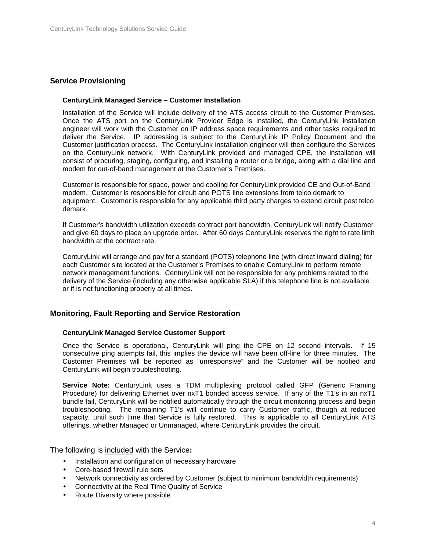### **Service Provisioning**

#### **CenturyLink Managed Service – Customer Installation**

Installation of the Service will include delivery of the ATS access circuit to the Customer Premises. Once the ATS port on the CenturyLink Provider Edge is installed, the CenturyLink installation engineer will work with the Customer on IP address space requirements and other tasks required to deliver the Service. IP addressing is subject to the CenturyLink IP Policy Document and the Customer justification process. The CenturyLink installation engineer will then configure the Services on the CenturyLink network. With CenturyLink provided and managed CPE, the installation will consist of procuring, staging, configuring, and installing a router or a bridge, along with a dial line and modem for out-of-band management at the Customer's Premises.

Customer is responsible for space, power and cooling for CenturyLink provided CE and Out-of-Band modem. Customer is responsible for circuit and POTS line extensions from telco demark to equipment. Customer is responsible for any applicable third party charges to extend circuit past telco demark.

If Customer's bandwidth utilization exceeds contract port bandwidth, CenturyLink will notify Customer and give 60 days to place an upgrade order. After 60 days CenturyLink reserves the right to rate limit bandwidth at the contract rate.

CenturyLink will arrange and pay for a standard (POTS) telephone line (with direct inward dialing) for each Customer site located at the Customer's Premises to enable CenturyLink to perform remote network management functions. CenturyLink will not be responsible for any problems related to the delivery of the Service (including any otherwise applicable SLA) if this telephone line is not available or if is not functioning properly at all times.

#### **Monitoring, Fault Reporting and Service Restoration**

#### **CenturyLink Managed Service Customer Support**

Once the Service is operational, CenturyLink will ping the CPE on 12 second intervals. If 15 consecutive ping attempts fail, this implies the device will have been off-line for three minutes. The Customer Premises will be reported as "unresponsive" and the Customer will be notified and CenturyLink will begin troubleshooting.

**Service Note:** CenturyLink uses a TDM multiplexing protocol called GFP (Generic Framing Procedure) for delivering Ethernet over nxT1 bonded access service. If any of the T1's in an nxT1 bundle fail, CenturyLink will be notified automatically through the circuit monitoring process and begin troubleshooting. The remaining T1's will continue to carry Customer traffic, though at reduced capacity, until such time that Service is fully restored. This is applicable to all CenturyLink ATS offerings, whether Managed or Unmanaged, where CenturyLink provides the circuit.

The following is included with the Service**:** 

- Installation and configuration of necessary hardware
- Core-based firewall rule sets
- Network connectivity as ordered by Customer (subject to minimum bandwidth requirements)
- Connectivity at the Real Time Quality of Service
- Route Diversity where possible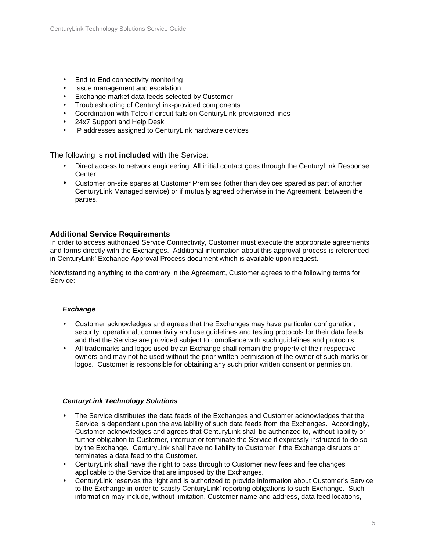- End-to-End connectivity monitoring
- Issue management and escalation
- Exchange market data feeds selected by Customer
- Troubleshooting of CenturyLink-provided components
- Coordination with Telco if circuit fails on CenturyLink-provisioned lines
- 24x7 Support and Help Desk
- IP addresses assigned to CenturyLink hardware devices

The following is **not included** with the Service:

- Direct access to network engineering. All initial contact goes through the CenturyLink Response Center.
- Customer on-site spares at Customer Premises (other than devices spared as part of another CenturyLink Managed service) or if mutually agreed otherwise in the Agreement between the parties.

#### **Additional Service Requirements**

In order to access authorized Service Connectivity, Customer must execute the appropriate agreements and forms directly with the Exchanges. Additional information about this approval process is referenced in CenturyLink' Exchange Approval Process document which is available upon request.

Notwitstanding anything to the contrary in the Agreement, Customer agrees to the following terms for Service:

#### **Exchange**

- Customer acknowledges and agrees that the Exchanges may have particular configuration, security, operational, connectivity and use guidelines and testing protocols for their data feeds and that the Service are provided subject to compliance with such guidelines and protocols.
- All trademarks and logos used by an Exchange shall remain the property of their respective owners and may not be used without the prior written permission of the owner of such marks or logos. Customer is responsible for obtaining any such prior written consent or permission.

#### **CenturyLink Technology Solutions**

- The Service distributes the data feeds of the Exchanges and Customer acknowledges that the Service is dependent upon the availability of such data feeds from the Exchanges. Accordingly, Customer acknowledges and agrees that CenturyLink shall be authorized to, without liability or further obligation to Customer, interrupt or terminate the Service if expressly instructed to do so by the Exchange. CenturyLink shall have no liability to Customer if the Exchange disrupts or terminates a data feed to the Customer.
- CenturyLink shall have the right to pass through to Customer new fees and fee changes applicable to the Service that are imposed by the Exchanges.
- CenturyLink reserves the right and is authorized to provide information about Customer's Service to the Exchange in order to satisfy CenturyLink' reporting obligations to such Exchange. Such information may include, without limitation, Customer name and address, data feed locations,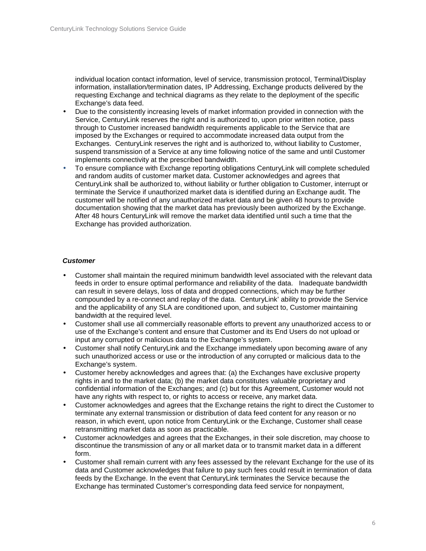individual location contact information, level of service, transmission protocol, Terminal/Display information, installation/termination dates, IP Addressing, Exchange products delivered by the requesting Exchange and technical diagrams as they relate to the deployment of the specific Exchange's data feed.

- Due to the consistently increasing levels of market information provided in connection with the Service, CenturyLink reserves the right and is authorized to, upon prior written notice, pass through to Customer increased bandwidth requirements applicable to the Service that are imposed by the Exchanges or required to accommodate increased data output from the Exchanges. CenturyLink reserves the right and is authorized to, without liability to Customer, suspend transmission of a Service at any time following notice of the same and until Customer implements connectivity at the prescribed bandwidth.
- To ensure compliance with Exchange reporting obligations CenturyLink will complete scheduled and random audits of customer market data. Customer acknowledges and agrees that CenturyLink shall be authorized to, without liability or further obligation to Customer, interrupt or terminate the Service if unauthorized market data is identified during an Exchange audit. The customer will be notified of any unauthorized market data and be given 48 hours to provide documentation showing that the market data has previously been authorized by the Exchange. After 48 hours CenturyLink will remove the market data identified until such a time that the Exchange has provided authorization.

#### **Customer**

- Customer shall maintain the required minimum bandwidth level associated with the relevant data feeds in order to ensure optimal performance and reliability of the data. Inadequate bandwidth can result in severe delays, loss of data and dropped connections, which may be further compounded by a re-connect and replay of the data. CenturyLink' ability to provide the Service and the applicability of any SLA are conditioned upon, and subject to, Customer maintaining bandwidth at the required level.
- Customer shall use all commercially reasonable efforts to prevent any unauthorized access to or use of the Exchange's content and ensure that Customer and its End Users do not upload or input any corrupted or malicious data to the Exchange's system.
- Customer shall notify CenturyLink and the Exchange immediately upon becoming aware of any such unauthorized access or use or the introduction of any corrupted or malicious data to the Exchange's system.
- Customer hereby acknowledges and agrees that: (a) the Exchanges have exclusive property rights in and to the market data; (b) the market data constitutes valuable proprietary and confidential information of the Exchanges; and (c) but for this Agreement, Customer would not have any rights with respect to, or rights to access or receive, any market data.
- Customer acknowledges and agrees that the Exchange retains the right to direct the Customer to terminate any external transmission or distribution of data feed content for any reason or no reason, in which event, upon notice from CenturyLink or the Exchange, Customer shall cease retransmitting market data as soon as practicable.
- Customer acknowledges and agrees that the Exchanges, in their sole discretion, may choose to discontinue the transmission of any or all market data or to transmit market data in a different form.
- Customer shall remain current with any fees assessed by the relevant Exchange for the use of its data and Customer acknowledges that failure to pay such fees could result in termination of data feeds by the Exchange. In the event that CenturyLink terminates the Service because the Exchange has terminated Customer's corresponding data feed service for nonpayment,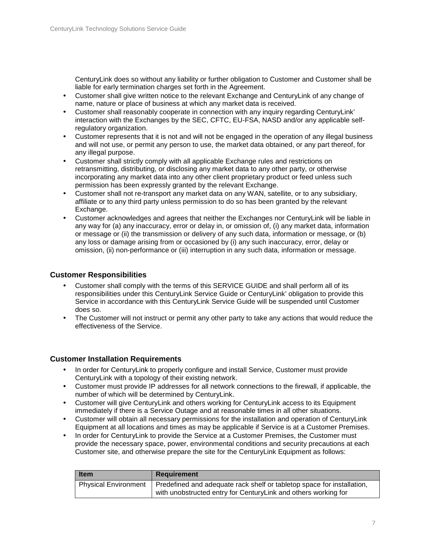CenturyLink does so without any liability or further obligation to Customer and Customer shall be liable for early termination charges set forth in the Agreement.

- Customer shall give written notice to the relevant Exchange and CenturyLink of any change of name, nature or place of business at which any market data is received.
- Customer shall reasonably cooperate in connection with any inquiry regarding CenturyLink' interaction with the Exchanges by the SEC, CFTC, EU-FSA, NASD and/or any applicable selfregulatory organization.
- Customer represents that it is not and will not be engaged in the operation of any illegal business and will not use, or permit any person to use, the market data obtained, or any part thereof, for any illegal purpose.
- Customer shall strictly comply with all applicable Exchange rules and restrictions on retransmitting, distributing, or disclosing any market data to any other party, or otherwise incorporating any market data into any other client proprietary product or feed unless such permission has been expressly granted by the relevant Exchange.
- Customer shall not re-transport any market data on any WAN, satellite, or to any subsidiary, affiliate or to any third party unless permission to do so has been granted by the relevant Exchange.
- Customer acknowledges and agrees that neither the Exchanges nor CenturyLink will be liable in any way for (a) any inaccuracy, error or delay in, or omission of, (i) any market data, information or message or (ii) the transmission or delivery of any such data, information or message, or (b) any loss or damage arising from or occasioned by (i) any such inaccuracy, error, delay or omission, (ii) non-performance or (iii) interruption in any such data, information or message.

## **Customer Responsibilities**

- Customer shall comply with the terms of this SERVICE GUIDE and shall perform all of its responsibilities under this CenturyLink Service Guide or CenturyLink' obligation to provide this Service in accordance with this CenturyLink Service Guide will be suspended until Customer does so.
- The Customer will not instruct or permit any other party to take any actions that would reduce the effectiveness of the Service.

#### **Customer Installation Requirements**

- In order for CenturyLink to properly configure and install Service, Customer must provide CenturyLink with a topology of their existing network.
- Customer must provide IP addresses for all network connections to the firewall, if applicable, the number of which will be determined by CenturyLink.
- Customer will give CenturyLink and others working for CenturyLink access to its Equipment immediately if there is a Service Outage and at reasonable times in all other situations.
- Customer will obtain all necessary permissions for the installation and operation of CenturyLink Equipment at all locations and times as may be applicable if Service is at a Customer Premises.
- In order for CenturyLink to provide the Service at a Customer Premises, the Customer must provide the necessary space, power, environmental conditions and security precautions at each Customer site, and otherwise prepare the site for the CenturyLink Equipment as follows:

| <b>Item</b>                 | <b>Requirement</b>                                                                                                                       |
|-----------------------------|------------------------------------------------------------------------------------------------------------------------------------------|
| <b>Physical Environment</b> | Predefined and adequate rack shelf or tabletop space for installation,<br>with unobstructed entry for CenturyLink and others working for |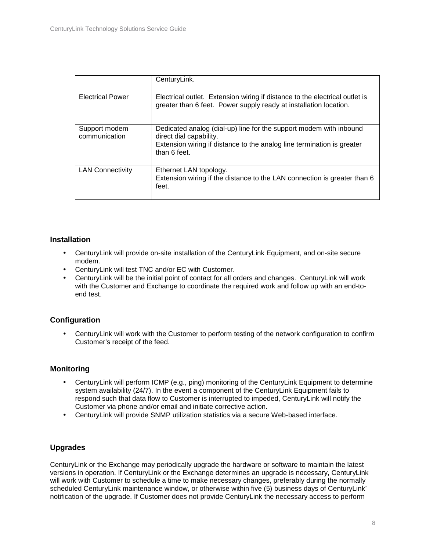|                                | CenturyLink.                                                                                                                                                                            |
|--------------------------------|-----------------------------------------------------------------------------------------------------------------------------------------------------------------------------------------|
| <b>Electrical Power</b>        | Electrical outlet. Extension wiring if distance to the electrical outlet is<br>greater than 6 feet. Power supply ready at installation location.                                        |
| Support modem<br>communication | Dedicated analog (dial-up) line for the support modem with inbound<br>direct dial capability.<br>Extension wiring if distance to the analog line termination is greater<br>than 6 feet. |
| <b>LAN Connectivity</b>        | Ethernet LAN topology.<br>Extension wiring if the distance to the LAN connection is greater than 6<br>feet.                                                                             |

### **Installation**

- CenturyLink will provide on-site installation of the CenturyLink Equipment, and on-site secure modem.
- CenturyLink will test TNC and/or EC with Customer.
- CenturyLink will be the initial point of contact for all orders and changes. CenturyLink will work with the Customer and Exchange to coordinate the required work and follow up with an end-toend test.

# **Configuration**

• CenturyLink will work with the Customer to perform testing of the network configuration to confirm Customer's receipt of the feed.

# **Monitoring**

- CenturyLink will perform ICMP (e.g., ping) monitoring of the CenturyLink Equipment to determine system availability (24/7). In the event a component of the CenturyLink Equipment fails to respond such that data flow to Customer is interrupted to impeded, CenturyLink will notify the Customer via phone and/or email and initiate corrective action.
- CenturyLink will provide SNMP utilization statistics via a secure Web-based interface.

# **Upgrades**

CenturyLink or the Exchange may periodically upgrade the hardware or software to maintain the latest versions in operation. If CenturyLink or the Exchange determines an upgrade is necessary, CenturyLink will work with Customer to schedule a time to make necessary changes, preferably during the normally scheduled CenturyLink maintenance window, or otherwise within five (5) business days of CenturyLink' notification of the upgrade. If Customer does not provide CenturyLink the necessary access to perform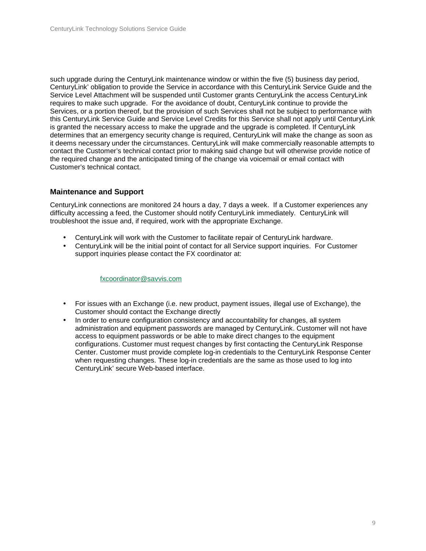such upgrade during the CenturyLink maintenance window or within the five (5) business day period, CenturyLink' obligation to provide the Service in accordance with this CenturyLink Service Guide and the Service Level Attachment will be suspended until Customer grants CenturyLink the access CenturyLink requires to make such upgrade. For the avoidance of doubt, CenturyLink continue to provide the Services, or a portion thereof, but the provision of such Services shall not be subject to performance with this CenturyLink Service Guide and Service Level Credits for this Service shall not apply until CenturyLink is granted the necessary access to make the upgrade and the upgrade is completed. If CenturyLink determines that an emergency security change is required, CenturyLink will make the change as soon as it deems necessary under the circumstances. CenturyLink will make commercially reasonable attempts to contact the Customer's technical contact prior to making said change but will otherwise provide notice of the required change and the anticipated timing of the change via voicemail or email contact with Customer's technical contact.

# **Maintenance and Support**

CenturyLink connections are monitored 24 hours a day, 7 days a week. If a Customer experiences any difficulty accessing a feed, the Customer should notify CenturyLink immediately. CenturyLink will troubleshoot the issue and, if required, work with the appropriate Exchange.

- CenturyLink will work with the Customer to facilitate repair of CenturyLink hardware.
- CenturyLink will be the initial point of contact for all Service support inquiries. For Customer support inquiries please contact the FX coordinator at:

#### fxcoordinator@savvis.com

- For issues with an Exchange (i.e. new product, payment issues, illegal use of Exchange), the Customer should contact the Exchange directly
- In order to ensure configuration consistency and accountability for changes, all system administration and equipment passwords are managed by CenturyLink. Customer will not have access to equipment passwords or be able to make direct changes to the equipment configurations. Customer must request changes by first contacting the CenturyLink Response Center. Customer must provide complete log-in credentials to the CenturyLink Response Center when requesting changes. These log-in credentials are the same as those used to log into CenturyLink' secure Web-based interface.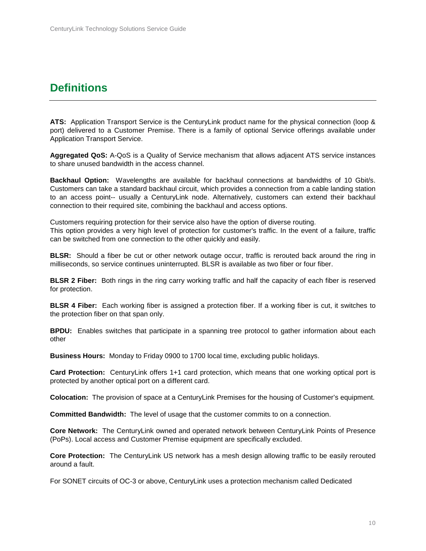# **Definitions**

**ATS:** Application Transport Service is the CenturyLink product name for the physical connection (loop & port) delivered to a Customer Premise. There is a family of optional Service offerings available under Application Transport Service.

**Aggregated QoS:** A-QoS is a Quality of Service mechanism that allows adjacent ATS service instances to share unused bandwidth in the access channel.

**Backhaul Option:** Wavelengths are available for backhaul connections at bandwidths of 10 Gbit/s. Customers can take a standard backhaul circuit, which provides a connection from a cable landing station to an access point-- usually a CenturyLink node. Alternatively, customers can extend their backhaul connection to their required site, combining the backhaul and access options.

Customers requiring protection for their service also have the option of diverse routing. This option provides a very high level of protection for customer's traffic. In the event of a failure, traffic can be switched from one connection to the other quickly and easily.

**BLSR:** Should a fiber be cut or other network outage occur, traffic is rerouted back around the ring in milliseconds, so service continues uninterrupted. BLSR is available as two fiber or four fiber.

**BLSR 2 Fiber:** Both rings in the ring carry working traffic and half the capacity of each fiber is reserved for protection.

**BLSR 4 Fiber:** Each working fiber is assigned a protection fiber. If a working fiber is cut, it switches to the protection fiber on that span only.

**BPDU:** Enables switches that participate in a spanning tree protocol to gather information about each other

**Business Hours:** Monday to Friday 0900 to 1700 local time, excluding public holidays.

**Card Protection:** CenturyLink offers 1+1 card protection, which means that one working optical port is protected by another optical port on a different card.

**Colocation:** The provision of space at a CenturyLink Premises for the housing of Customer's equipment.

**Committed Bandwidth:** The level of usage that the customer commits to on a connection.

**Core Network:** The CenturyLink owned and operated network between CenturyLink Points of Presence (PoPs). Local access and Customer Premise equipment are specifically excluded.

**Core Protection:** The CenturyLink US network has a mesh design allowing traffic to be easily rerouted around a fault.

For SONET circuits of OC-3 or above, CenturyLink uses a protection mechanism called Dedicated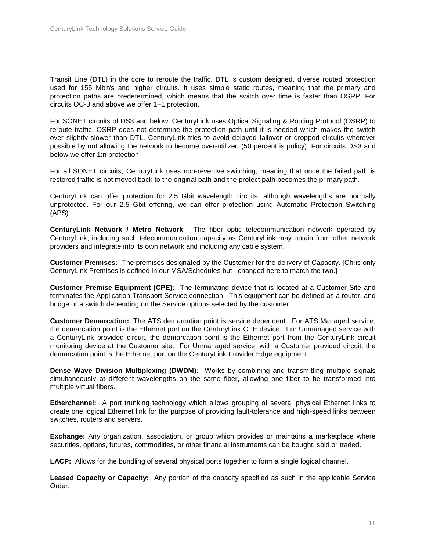Transit Line (DTL) in the core to reroute the traffic. DTL is custom designed, diverse routed protection used for 155 Mbit/s and higher circuits. It uses simple static routes, meaning that the primary and protection paths are predetermined, which means that the switch over time is faster than OSRP. For circuits OC-3 and above we offer 1+1 protection.

For SONET circuits of DS3 and below, CenturyLink uses Optical Signaling & Routing Protocol (OSRP) to reroute traffic. OSRP does not determine the protection path until it is needed which makes the switch over slightly slower than DTL. CenturyLink tries to avoid delayed failover or dropped circuits wherever possible by not allowing the network to become over-utilized (50 percent is policy). For circuits DS3 and below we offer 1:n protection.

For all SONET circuits, CenturyLink uses non-revertive switching, meaning that once the failed path is restored traffic is not moved back to the original path and the protect path becomes the primary path.

CenturyLink can offer protection for 2.5 Gbit wavelength circuits; although wavelengths are normally unprotected. For our 2.5 Gbit offering, we can offer protection using Automatic Protection Switching (APS).

**CenturyLink Network / Metro Network**: The fiber optic telecommunication network operated by CenturyLink, including such telecommunication capacity as CenturyLink may obtain from other network providers and integrate into its own network and including any cable system.

**Customer Premises:** The premises designated by the Customer for the delivery of Capacity. [Chris only CenturyLink Premises is defined in our MSA/Schedules but I changed here to match the two.]

**Customer Premise Equipment (CPE):** The terminating device that is located at a Customer Site and terminates the Application Transport Service connection. This equipment can be defined as a router, and bridge or a switch depending on the Service options selected by the customer.

**Customer Demarcation:** The ATS demarcation point is service dependent. For ATS Managed service, the demarcation point is the Ethernet port on the CenturyLink CPE device. For Unmanaged service with a CenturyLink provided circuit, the demarcation point is the Ethernet port from the CenturyLink circuit monitoring device at the Customer site. For Unmanaged service, with a Customer provided circuit, the demarcation point is the Ethernet port on the CenturyLink Provider Edge equipment.

**Dense Wave Division Multiplexing (DWDM):** Works by combining and transmitting multiple signals simultaneously at different wavelengths on the same fiber, allowing one fiber to be transformed into multiple virtual fibers.

**Etherchannel:** A port trunking technology which allows grouping of several physical Ethernet links to create one logical Ethernet link for the purpose of providing fault-tolerance and high-speed links between switches, routers and servers.

**Exchange:** Any organization, association, or group which provides or maintains a marketplace where securities, options, futures, commodities, or other financial instruments can be bought, sold or traded.

**LACP:** Allows for the bundling of several physical ports together to form a single logical channel.

**Leased Capacity or Capacity:** Any portion of the capacity specified as such in the applicable Service Order.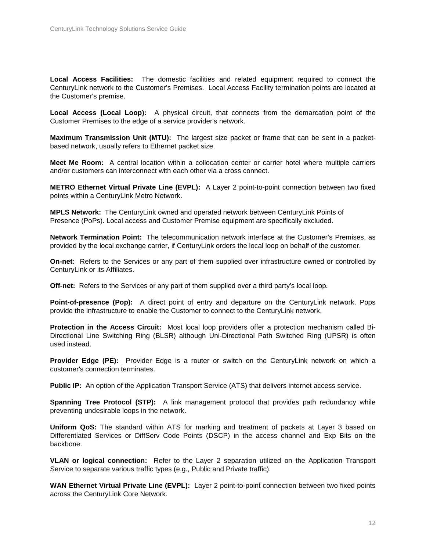**Local Access Facilities:** The domestic facilities and related equipment required to connect the CenturyLink network to the Customer's Premises. Local Access Facility termination points are located at the Customer's premise.

**Local Access (Local Loop):** A physical circuit, that connects from the demarcation point of the Customer Premises to the edge of a service provider's network.

**Maximum Transmission Unit (MTU):** The largest size packet or frame that can be sent in a packetbased network, usually refers to Ethernet packet size.

**Meet Me Room:** A central location within a collocation center or carrier hotel where multiple carriers and/or customers can interconnect with each other via a cross connect.

**METRO Ethernet Virtual Private Line (EVPL):** A Layer 2 point-to-point connection between two fixed points within a CenturyLink Metro Network.

**MPLS Network:** The CenturyLink owned and operated network between CenturyLink Points of Presence (PoPs). Local access and Customer Premise equipment are specifically excluded.

**Network Termination Point:** The telecommunication network interface at the Customer's Premises, as provided by the local exchange carrier, if CenturyLink orders the local loop on behalf of the customer.

**On-net:** Refers to the Services or any part of them supplied over infrastructure owned or controlled by CenturyLink or its Affiliates.

**Off-net:** Refers to the Services or any part of them supplied over a third party's local loop.

**Point-of-presence (Pop):** A direct point of entry and departure on the CenturyLink network. Pops provide the infrastructure to enable the Customer to connect to the CenturyLink network.

**Protection in the Access Circuit:** Most local loop providers offer a protection mechanism called Bi-Directional Line Switching Ring (BLSR) although Uni-Directional Path Switched Ring (UPSR) is often used instead.

**Provider Edge (PE):** Provider Edge is a router or switch on the CenturyLink network on which a customer's connection terminates.

**Public IP:** An option of the Application Transport Service (ATS) that delivers internet access service.

**Spanning Tree Protocol (STP):** A link management protocol that provides path redundancy while preventing undesirable loops in the network.

**Uniform QoS:** The standard within ATS for marking and treatment of packets at Layer 3 based on Differentiated Services or DiffServ Code Points (DSCP) in the access channel and Exp Bits on the backbone.

**VLAN or logical connection:** Refer to the Layer 2 separation utilized on the Application Transport Service to separate various traffic types (e.g., Public and Private traffic).

**WAN Ethernet Virtual Private Line (EVPL):** Layer 2 point-to-point connection between two fixed points across the CenturyLink Core Network.